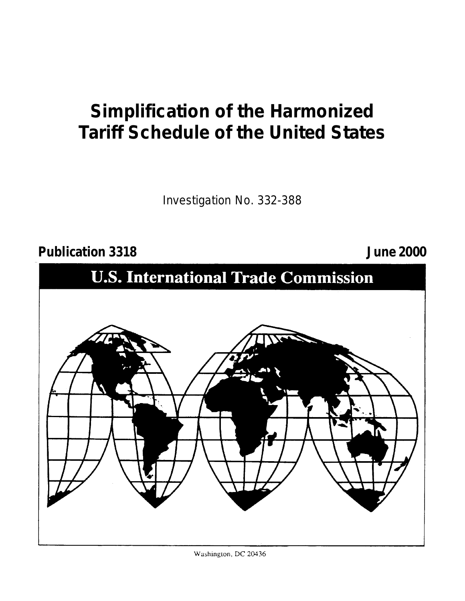# **Simplification of the Harmonized Tariff Schedule of the United States**

Investigation No. 332-388

# **Publication 3318 June 2000**



Washington, DC 20436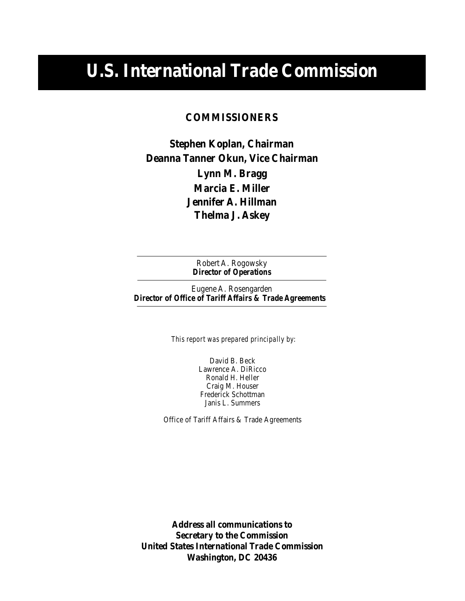# **U.S. International Trade Commission**

# **COMMISSIONERS**

**Deanna Tanner Okun, Vice Chairman Stephen Koplan, Chairman Thelma J. Askey Lynn M. Bragg Marcia E. Miller Jennifer A. Hillman**

> *Director of Operations* Robert A. Rogowsky

Eugene A. Rosengarden *Director of Office of Tariff Affairs & Trade Agreements*

*This report was prepared principally by:*

David B. Beck Lawrence A. DiRicco Ronald H. Heller Craig M. Houser Frederick Schottman Janis L. Summers

Office of Tariff Affairs & Trade Agreements

**Address all communications to Secretary to the Commission United States International Trade Commission Washington, DC 20436**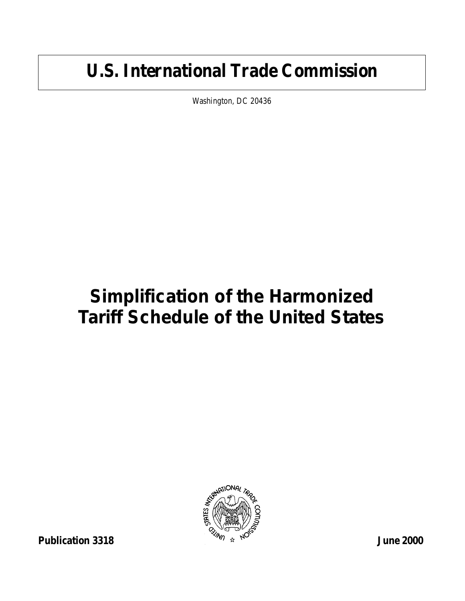# **U.S. International Trade Commission**

Washington, DC 20436

# **Simplification of the Harmonized Tariff Schedule of the United States**

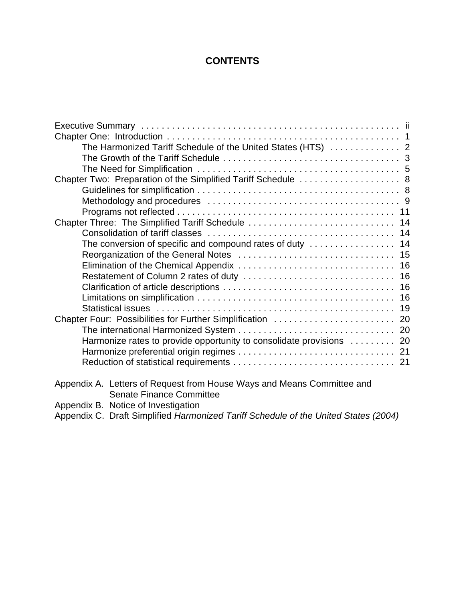# **CONTENTS**

| The Harmonized Tariff Schedule of the United States (HTS)  2           |  |
|------------------------------------------------------------------------|--|
|                                                                        |  |
|                                                                        |  |
| Chapter Two: Preparation of the Simplified Tariff Schedule  8          |  |
|                                                                        |  |
|                                                                        |  |
|                                                                        |  |
| Chapter Three: The Simplified Tariff Schedule  14                      |  |
|                                                                        |  |
| The conversion of specific and compound rates of duty  14              |  |
|                                                                        |  |
|                                                                        |  |
|                                                                        |  |
|                                                                        |  |
|                                                                        |  |
|                                                                        |  |
| Chapter Four: Possibilities for Further Simplification  20             |  |
|                                                                        |  |
| Harmonize rates to provide opportunity to consolidate provisions  20   |  |
|                                                                        |  |
|                                                                        |  |
|                                                                        |  |
| Appendix A. Letters of Request from House Ways and Means Committee and |  |
| $\sim$ $\sim$ $\sim$ $\sim$ $\sim$                                     |  |

Senate Finance Committee Appendix B. Notice of Investigation

Appendix C. Draft Simplified *Harmonized Tariff Schedule of the United States (2004)*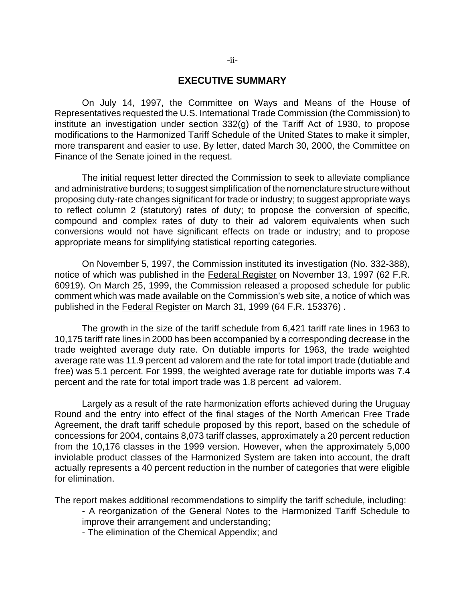# **EXECUTIVE SUMMARY**

On July 14, 1997, the Committee on Ways and Means of the House of Representatives requested the U.S. International Trade Commission (the Commission) to institute an investigation under section 332(g) of the Tariff Act of 1930, to propose modifications to the Harmonized Tariff Schedule of the United States to make it simpler, more transparent and easier to use. By letter, dated March 30, 2000, the Committee on Finance of the Senate joined in the request.

The initial request letter directed the Commission to seek to alleviate compliance and administrative burdens; to suggest simplification of the nomenclature structure without proposing duty-rate changes significant for trade or industry; to suggest appropriate ways to reflect column 2 (statutory) rates of duty; to propose the conversion of specific, compound and complex rates of duty to their ad valorem equivalents when such conversions would not have significant effects on trade or industry; and to propose appropriate means for simplifying statistical reporting categories.

On November 5, 1997, the Commission instituted its investigation (No. 332-388), notice of which was published in the Federal Register on November 13, 1997 (62 F.R. 60919). On March 25, 1999, the Commission released a proposed schedule for public comment which was made available on the Commission's web site, a notice of which was published in the Federal Register on March 31, 1999 (64 F.R. 153376) .

The growth in the size of the tariff schedule from 6,421 tariff rate lines in 1963 to 10,175 tariff rate lines in 2000 has been accompanied by a corresponding decrease in the trade weighted average duty rate. On dutiable imports for 1963, the trade weighted average rate was 11.9 percent ad valorem and the rate for total import trade (dutiable and free) was 5.1 percent. For 1999, the weighted average rate for dutiable imports was 7.4 percent and the rate for total import trade was 1.8 percent ad valorem.

Largely as a result of the rate harmonization efforts achieved during the Uruguay Round and the entry into effect of the final stages of the North American Free Trade Agreement, the draft tariff schedule proposed by this report, based on the schedule of concessions for 2004, contains 8,073 tariff classes, approximately a 20 percent reduction from the 10,176 classes in the 1999 version. However, when the approximately 5,000 inviolable product classes of the Harmonized System are taken into account, the draft actually represents a 40 percent reduction in the number of categories that were eligible for elimination.

The report makes additional recommendations to simplify the tariff schedule, including:

- A reorganization of the General Notes to the Harmonized Tariff Schedule to improve their arrangement and understanding;
- The elimination of the Chemical Appendix; and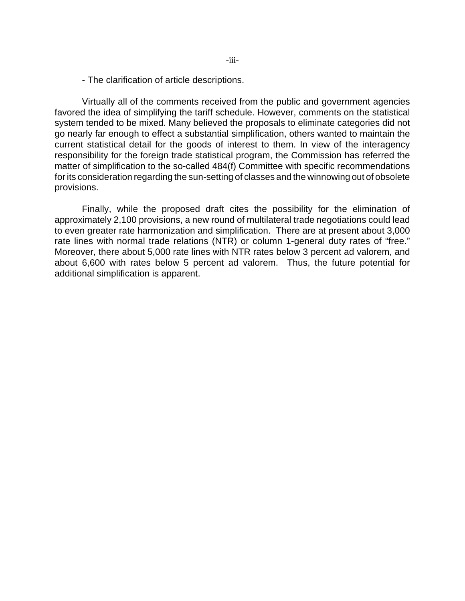- The clarification of article descriptions.

Virtually all of the comments received from the public and government agencies favored the idea of simplifying the tariff schedule. However, comments on the statistical system tended to be mixed. Many believed the proposals to eliminate categories did not go nearly far enough to effect a substantial simplification, others wanted to maintain the current statistical detail for the goods of interest to them. In view of the interagency responsibility for the foreign trade statistical program, the Commission has referred the matter of simplification to the so-called 484(f) Committee with specific recommendations for its consideration regarding the sun-setting of classes and the winnowing out of obsolete provisions.

Finally, while the proposed draft cites the possibility for the elimination of approximately 2,100 provisions, a new round of multilateral trade negotiations could lead to even greater rate harmonization and simplification. There are at present about 3,000 rate lines with normal trade relations (NTR) or column 1-general duty rates of "free." Moreover, there about 5,000 rate lines with NTR rates below 3 percent ad valorem, and about 6,600 with rates below 5 percent ad valorem. Thus, the future potential for additional simplification is apparent.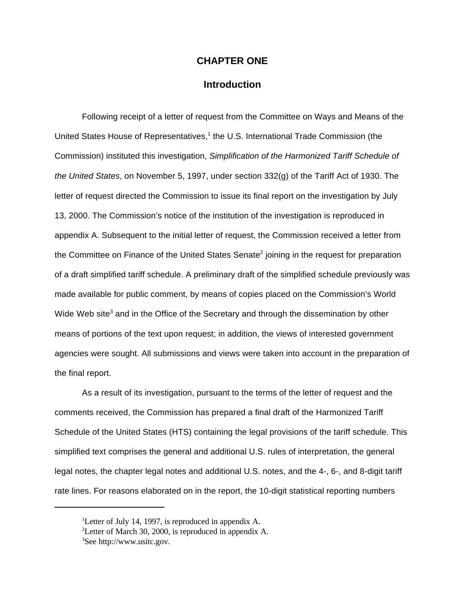# **CHAPTER ONE**

# **Introduction**

Following receipt of a letter of request from the Committee on Ways and Means of the United States House of Representatives,<sup>1</sup> the U.S. International Trade Commission (the Commission) instituted this investigation, *Simplification of the Harmonized Tariff Schedule of the United States*, on November 5, 1997, under section 332(g) of the Tariff Act of 1930. The letter of request directed the Commission to issue its final report on the investigation by July 13, 2000. The Commission's notice of the institution of the investigation is reproduced in appendix A. Subsequent to the initial letter of request, the Commission received a letter from the Committee on Finance of the United States Senate<sup>2</sup> joining in the request for preparation of a draft simplified tariff schedule. A preliminary draft of the simplified schedule previously was made available for public comment, by means of copies placed on the Commission's World Wide Web site<sup>3</sup> and in the Office of the Secretary and through the dissemination by other means of portions of the text upon request; in addition, the views of interested government agencies were sought. All submissions and views were taken into account in the preparation of the final report.

As a result of its investigation, pursuant to the terms of the letter of request and the comments received, the Commission has prepared a final draft of the Harmonized Tariff Schedule of the United States (HTS) containing the legal provisions of the tariff schedule. This simplified text comprises the general and additional U.S. rules of interpretation, the general legal notes, the chapter legal notes and additional U.S. notes, and the 4-, 6-, and 8-digit tariff rate lines. For reasons elaborated on in the report, the 10-digit statistical reporting numbers

<sup>&</sup>lt;sup>1</sup>Letter of July 14, 1997, is reproduced in appendix A.

<sup>&</sup>lt;sup>2</sup>Letter of March 30, 2000, is reproduced in appendix A.

<sup>3</sup>See http://www.usitc.gov.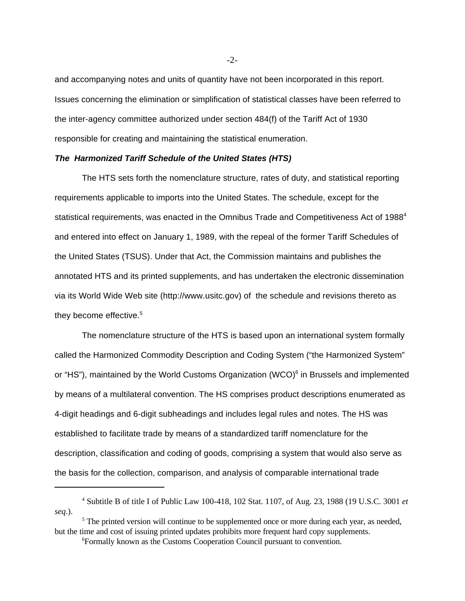and accompanying notes and units of quantity have not been incorporated in this report. Issues concerning the elimination or simplification of statistical classes have been referred to the inter-agency committee authorized under section 484(f) of the Tariff Act of 1930 responsible for creating and maintaining the statistical enumeration.

### *The Harmonized Tariff Schedule of the United States (HTS)*

The HTS sets forth the nomenclature structure, rates of duty, and statistical reporting requirements applicable to imports into the United States. The schedule, except for the statistical requirements, was enacted in the Omnibus Trade and Competitiveness Act of 1988<sup>4</sup> and entered into effect on January 1, 1989, with the repeal of the former Tariff Schedules of the United States (TSUS). Under that Act, the Commission maintains and publishes the annotated HTS and its printed supplements, and has undertaken the electronic dissemination via its World Wide Web site (http://www.usitc.gov) of the schedule and revisions thereto as they become effective.<sup>5</sup>

The nomenclature structure of the HTS is based upon an international system formally called the Harmonized Commodity Description and Coding System ("the Harmonized System" or "HS"), maintained by the World Customs Organization (WCO)<sup>6</sup> in Brussels and implemented by means of a multilateral convention. The HS comprises product descriptions enumerated as 4-digit headings and 6-digit subheadings and includes legal rules and notes. The HS was established to facilitate trade by means of a standardized tariff nomenclature for the description, classification and coding of goods, comprising a system that would also serve as the basis for the collection, comparison, and analysis of comparable international trade

-2-

<sup>4</sup> Subtitle B of title I of Public Law 100-418, 102 Stat. 1107, of Aug. 23, 1988 (19 U.S.C. 3001 *et seq*.).

<sup>&</sup>lt;sup>5</sup> The printed version will continue to be supplemented once or more during each year, as needed, but the time and cost of issuing printed updates prohibits more frequent hard copy supplements.

<sup>6</sup>Formally known as the Customs Cooperation Council pursuant to convention.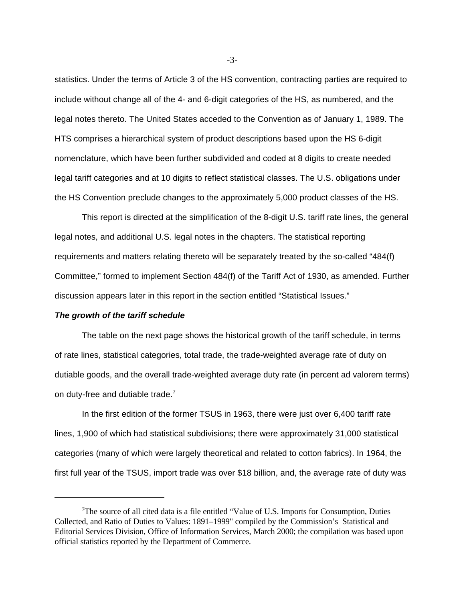statistics. Under the terms of Article 3 of the HS convention, contracting parties are required to include without change all of the 4- and 6-digit categories of the HS, as numbered, and the legal notes thereto. The United States acceded to the Convention as of January 1, 1989. The HTS comprises a hierarchical system of product descriptions based upon the HS 6-digit nomenclature, which have been further subdivided and coded at 8 digits to create needed legal tariff categories and at 10 digits to reflect statistical classes. The U.S. obligations under the HS Convention preclude changes to the approximately 5,000 product classes of the HS.

This report is directed at the simplification of the 8-digit U.S. tariff rate lines, the general legal notes, and additional U.S. legal notes in the chapters. The statistical reporting requirements and matters relating thereto will be separately treated by the so-called "484(f) Committee," formed to implement Section 484(f) of the Tariff Act of 1930, as amended. Further discussion appears later in this report in the section entitled "Statistical Issues."

### *The growth of the tariff schedule*

The table on the next page shows the historical growth of the tariff schedule, in terms of rate lines, statistical categories, total trade, the trade-weighted average rate of duty on dutiable goods, and the overall trade-weighted average duty rate (in percent ad valorem terms) on duty-free and dutiable trade.<sup>7</sup>

In the first edition of the former TSUS in 1963, there were just over 6,400 tariff rate lines, 1,900 of which had statistical subdivisions; there were approximately 31,000 statistical categories (many of which were largely theoretical and related to cotton fabrics). In 1964, the first full year of the TSUS, import trade was over \$18 billion, and, the average rate of duty was

-3-

<sup>&</sup>lt;sup>7</sup>The source of all cited data is a file entitled "Value of U.S. Imports for Consumption, Duties Collected, and Ratio of Duties to Values: 1891–1999" compiled by the Commission's Statistical and Editorial Services Division, Office of Information Services, March 2000; the compilation was based upon official statistics reported by the Department of Commerce.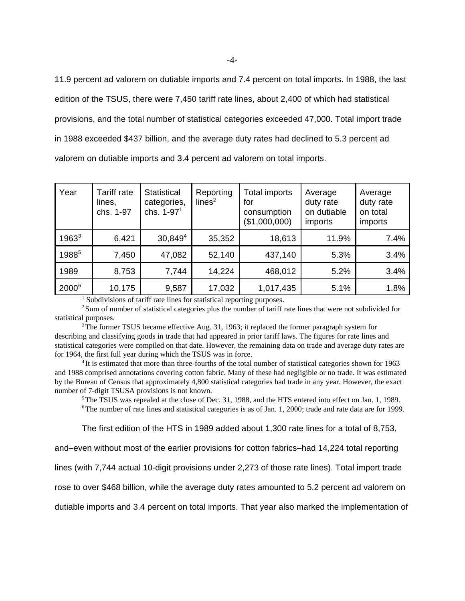11.9 percent ad valorem on dutiable imports and 7.4 percent on total imports. In 1988, the last edition of the TSUS, there were 7,450 tariff rate lines, about 2,400 of which had statistical provisions, and the total number of statistical categories exceeded 47,000. Total import trade in 1988 exceeded \$437 billion, and the average duty rates had declined to 5.3 percent ad valorem on dutiable imports and 3.4 percent ad valorem on total imports.

| Year              | Tariff rate<br>lines,<br>chs. 1-97 | <b>Statistical</b><br>categories,<br>chs. 1-97 <sup>1</sup> | Reporting<br>lines <sup>2</sup> | <b>Total imports</b><br>for<br>consumption<br>(\$1,000,000) | Average<br>duty rate<br>on dutiable<br>imports | Average<br>duty rate<br>on total<br>imports |
|-------------------|------------------------------------|-------------------------------------------------------------|---------------------------------|-------------------------------------------------------------|------------------------------------------------|---------------------------------------------|
| $1963^3$          | 6,421                              | 30,8494                                                     | 35,352                          | 18,613                                                      | 11.9%                                          | 7.4%                                        |
| 19885             | 7,450                              | 47,082                                                      | 52,140                          | 437,140                                                     | 5.3%                                           | 3.4%                                        |
| 1989              | 8,753                              | 7,744                                                       | 14,224                          | 468,012                                                     | 5.2%                                           | 3.4%                                        |
| 2000 <sup>6</sup> | 10,175                             | 9,587                                                       | 17,032                          | 1,017,435                                                   | 5.1%                                           | 1.8%                                        |

<sup>1</sup> Subdivisions of tariff rate lines for statistical reporting purposes.

<sup>2</sup>Sum of number of statistical categories plus the number of tariff rate lines that were not subdivided for statistical purposes.

<sup>3</sup>The former TSUS became effective Aug. 31, 1963; it replaced the former paragraph system for describing and classifying goods in trade that had appeared in prior tariff laws. The figures for rate lines and statistical categories were compiled on that date. However, the remaining data on trade and average duty rates are for 1964, the first full year during which the TSUS was in force.

<sup>4</sup>It is estimated that more than three-fourths of the total number of statistical categories shown for 1963 and 1988 comprised annotations covering cotton fabric. Many of these had negligible or no trade. It was estimated by the Bureau of Census that approximately 4,800 statistical categories had trade in any year. However, the exact number of 7-digit TSUSA provisions is not known.

<sup>5</sup>The TSUS was repealed at the close of Dec. 31, 1988, and the HTS entered into effect on Jan. 1, 1989. <sup>6</sup>The number of rate lines and statistical categories is as of Jan. 1, 2000; trade and rate data are for 1999.

The first edition of the HTS in 1989 added about 1,300 rate lines for a total of 8,753,

and–even without most of the earlier provisions for cotton fabrics–had 14,224 total reporting

lines (with 7,744 actual 10-digit provisions under 2,273 of those rate lines). Total import trade

rose to over \$468 billion, while the average duty rates amounted to 5.2 percent ad valorem on

dutiable imports and 3.4 percent on total imports. That year also marked the implementation of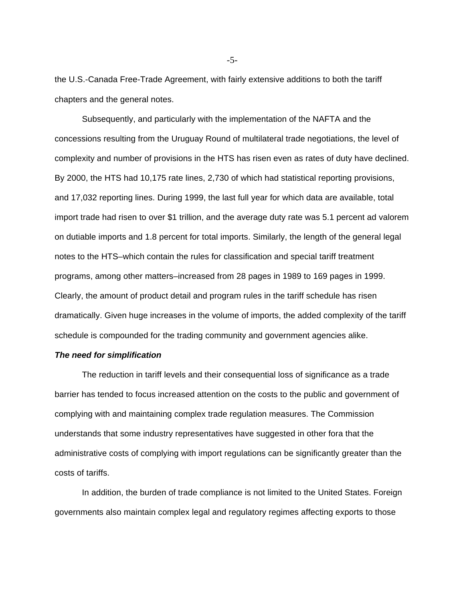the U.S.-Canada Free-Trade Agreement, with fairly extensive additions to both the tariff chapters and the general notes.

Subsequently, and particularly with the implementation of the NAFTA and the concessions resulting from the Uruguay Round of multilateral trade negotiations, the level of complexity and number of provisions in the HTS has risen even as rates of duty have declined. By 2000, the HTS had 10,175 rate lines, 2,730 of which had statistical reporting provisions, and 17,032 reporting lines. During 1999, the last full year for which data are available, total import trade had risen to over \$1 trillion, and the average duty rate was 5.1 percent ad valorem on dutiable imports and 1.8 percent for total imports. Similarly, the length of the general legal notes to the HTS–which contain the rules for classification and special tariff treatment programs, among other matters–increased from 28 pages in 1989 to 169 pages in 1999. Clearly, the amount of product detail and program rules in the tariff schedule has risen dramatically. Given huge increases in the volume of imports, the added complexity of the tariff schedule is compounded for the trading community and government agencies alike.

### *The need for simplification*

The reduction in tariff levels and their consequential loss of significance as a trade barrier has tended to focus increased attention on the costs to the public and government of complying with and maintaining complex trade regulation measures. The Commission understands that some industry representatives have suggested in other fora that the administrative costs of complying with import regulations can be significantly greater than the costs of tariffs.

In addition, the burden of trade compliance is not limited to the United States. Foreign governments also maintain complex legal and regulatory regimes affecting exports to those

-5-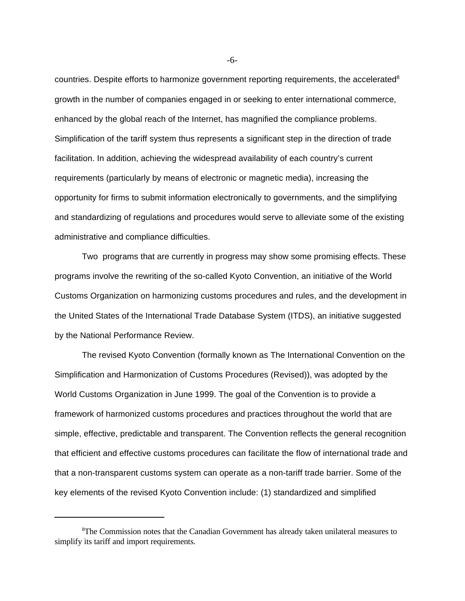countries. Despite efforts to harmonize government reporting requirements, the accelerated  $8$ growth in the number of companies engaged in or seeking to enter international commerce, enhanced by the global reach of the Internet, has magnified the compliance problems. Simplification of the tariff system thus represents a significant step in the direction of trade facilitation. In addition, achieving the widespread availability of each country's current requirements (particularly by means of electronic or magnetic media), increasing the opportunity for firms to submit information electronically to governments, and the simplifying and standardizing of regulations and procedures would serve to alleviate some of the existing administrative and compliance difficulties.

Two programs that are currently in progress may show some promising effects. These programs involve the rewriting of the so-called Kyoto Convention, an initiative of the World Customs Organization on harmonizing customs procedures and rules, and the development in the United States of the International Trade Database System (ITDS), an initiative suggested by the National Performance Review.

The revised Kyoto Convention (formally known as The International Convention on the Simplification and Harmonization of Customs Procedures (Revised)), was adopted by the World Customs Organization in June 1999. The goal of the Convention is to provide a framework of harmonized customs procedures and practices throughout the world that are simple, effective, predictable and transparent. The Convention reflects the general recognition that efficient and effective customs procedures can facilitate the flow of international trade and that a non-transparent customs system can operate as a non-tariff trade barrier. Some of the key elements of the revised Kyoto Convention include: (1) standardized and simplified

-6-

<sup>8</sup>The Commission notes that the Canadian Government has already taken unilateral measures to simplify its tariff and import requirements.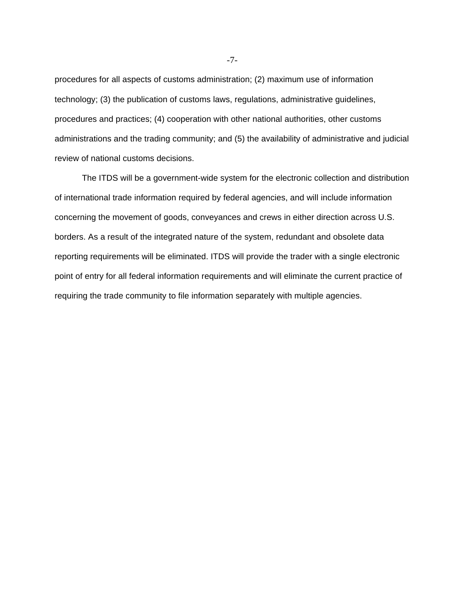procedures for all aspects of customs administration; (2) maximum use of information technology; (3) the publication of customs laws, regulations, administrative guidelines, procedures and practices; (4) cooperation with other national authorities, other customs administrations and the trading community; and (5) the availability of administrative and judicial review of national customs decisions.

The ITDS will be a government-wide system for the electronic collection and distribution of international trade information required by federal agencies, and will include information concerning the movement of goods, conveyances and crews in either direction across U.S. borders. As a result of the integrated nature of the system, redundant and obsolete data reporting requirements will be eliminated. ITDS will provide the trader with a single electronic point of entry for all federal information requirements and will eliminate the current practice of requiring the trade community to file information separately with multiple agencies.

-7-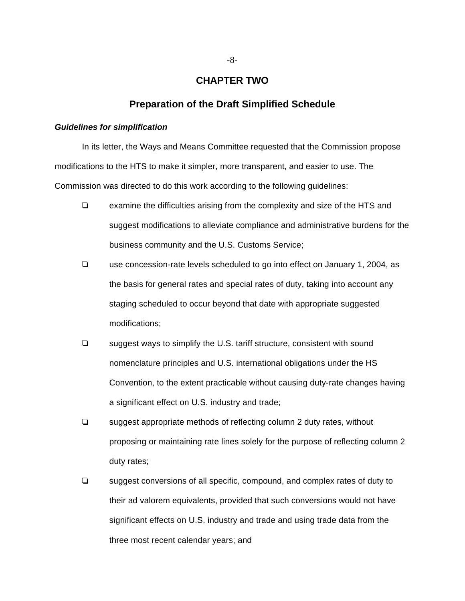# **CHAPTER TWO**

# **Preparation of the Draft Simplified Schedule**

## *Guidelines for simplification*

In its letter, the Ways and Means Committee requested that the Commission propose modifications to the HTS to make it simpler, more transparent, and easier to use. The Commission was directed to do this work according to the following guidelines:

- $\Box$  examine the difficulties arising from the complexity and size of the HTS and suggest modifications to alleviate compliance and administrative burdens for the business community and the U.S. Customs Service;
- $\Box$  use concession-rate levels scheduled to go into effect on January 1, 2004, as the basis for general rates and special rates of duty, taking into account any staging scheduled to occur beyond that date with appropriate suggested modifications;
- $\Box$  suggest ways to simplify the U.S. tariff structure, consistent with sound nomenclature principles and U.S. international obligations under the HS Convention, to the extent practicable without causing duty-rate changes having a significant effect on U.S. industry and trade;
- $\Box$  suggest appropriate methods of reflecting column 2 duty rates, without proposing or maintaining rate lines solely for the purpose of reflecting column 2 duty rates;
- $\Box$  suggest conversions of all specific, compound, and complex rates of duty to their ad valorem equivalents, provided that such conversions would not have significant effects on U.S. industry and trade and using trade data from the three most recent calendar years; and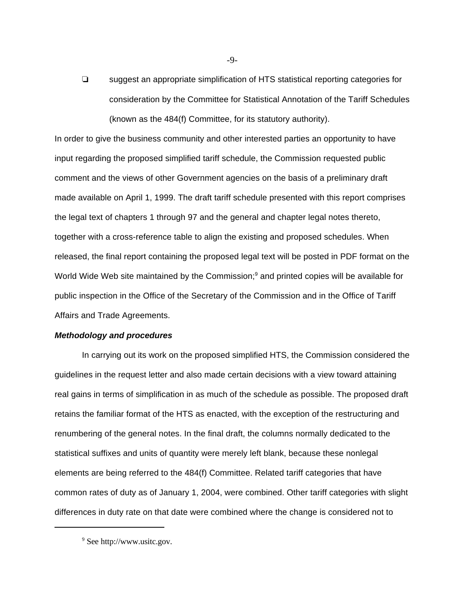$\Box$  suggest an appropriate simplification of HTS statistical reporting categories for consideration by the Committee for Statistical Annotation of the Tariff Schedules (known as the 484(f) Committee, for its statutory authority).

In order to give the business community and other interested parties an opportunity to have input regarding the proposed simplified tariff schedule, the Commission requested public comment and the views of other Government agencies on the basis of a preliminary draft made available on April 1, 1999. The draft tariff schedule presented with this report comprises the legal text of chapters 1 through 97 and the general and chapter legal notes thereto, together with a cross-reference table to align the existing and proposed schedules. When released, the final report containing the proposed legal text will be posted in PDF format on the World Wide Web site maintained by the Commission;<sup>9</sup> and printed copies will be available for public inspection in the Office of the Secretary of the Commission and in the Office of Tariff Affairs and Trade Agreements.

## *Methodology and procedures*

In carrying out its work on the proposed simplified HTS, the Commission considered the guidelines in the request letter and also made certain decisions with a view toward attaining real gains in terms of simplification in as much of the schedule as possible. The proposed draft retains the familiar format of the HTS as enacted, with the exception of the restructuring and renumbering of the general notes. In the final draft, the columns normally dedicated to the statistical suffixes and units of quantity were merely left blank, because these nonlegal elements are being referred to the 484(f) Committee. Related tariff categories that have common rates of duty as of January 1, 2004, were combined. Other tariff categories with slight differences in duty rate on that date were combined where the change is considered not to

<sup>&</sup>lt;sup>9</sup> See http://www.usitc.gov.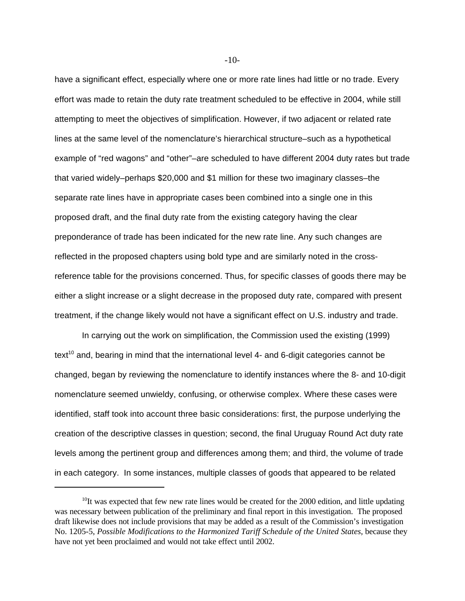have a significant effect, especially where one or more rate lines had little or no trade. Every effort was made to retain the duty rate treatment scheduled to be effective in 2004, while still attempting to meet the objectives of simplification. However, if two adjacent or related rate lines at the same level of the nomenclature's hierarchical structure–such as a hypothetical example of "red wagons" and "other"–are scheduled to have different 2004 duty rates but trade that varied widely–perhaps \$20,000 and \$1 million for these two imaginary classes–the separate rate lines have in appropriate cases been combined into a single one in this proposed draft, and the final duty rate from the existing category having the clear preponderance of trade has been indicated for the new rate line. Any such changes are reflected in the proposed chapters using bold type and are similarly noted in the crossreference table for the provisions concerned. Thus, for specific classes of goods there may be either a slight increase or a slight decrease in the proposed duty rate, compared with present treatment, if the change likely would not have a significant effect on U.S. industry and trade.

In carrying out the work on simplification, the Commission used the existing (1999) text<sup>10</sup> and, bearing in mind that the international level 4- and 6-digit categories cannot be changed, began by reviewing the nomenclature to identify instances where the 8- and 10-digit nomenclature seemed unwieldy, confusing, or otherwise complex. Where these cases were identified, staff took into account three basic considerations: first, the purpose underlying the creation of the descriptive classes in question; second, the final Uruguay Round Act duty rate levels among the pertinent group and differences among them; and third, the volume of trade in each category. In some instances, multiple classes of goods that appeared to be related

-10-

 $10$ It was expected that few new rate lines would be created for the 2000 edition, and little updating was necessary between publication of the preliminary and final report in this investigation. The proposed draft likewise does not include provisions that may be added as a result of the Commission's investigation No. 1205-5, *Possible Modifications to the Harmonized Tariff Schedule of the United States*, because they have not yet been proclaimed and would not take effect until 2002.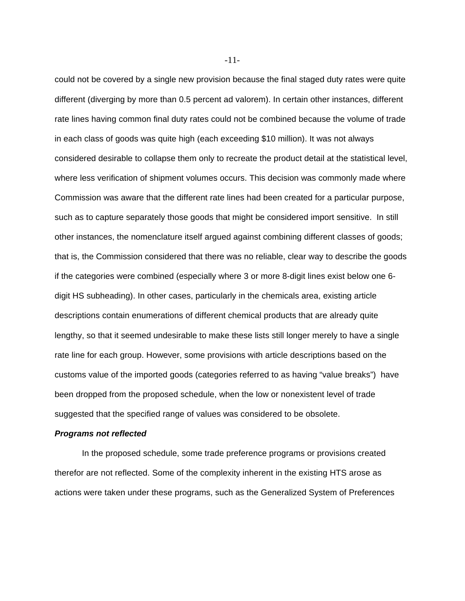could not be covered by a single new provision because the final staged duty rates were quite different (diverging by more than 0.5 percent ad valorem). In certain other instances, different rate lines having common final duty rates could not be combined because the volume of trade in each class of goods was quite high (each exceeding \$10 million). It was not always considered desirable to collapse them only to recreate the product detail at the statistical level, where less verification of shipment volumes occurs. This decision was commonly made where Commission was aware that the different rate lines had been created for a particular purpose, such as to capture separately those goods that might be considered import sensitive. In still other instances, the nomenclature itself argued against combining different classes of goods; that is, the Commission considered that there was no reliable, clear way to describe the goods if the categories were combined (especially where 3 or more 8-digit lines exist below one 6 digit HS subheading). In other cases, particularly in the chemicals area, existing article descriptions contain enumerations of different chemical products that are already quite lengthy, so that it seemed undesirable to make these lists still longer merely to have a single rate line for each group. However, some provisions with article descriptions based on the customs value of the imported goods (categories referred to as having "value breaks") have been dropped from the proposed schedule, when the low or nonexistent level of trade suggested that the specified range of values was considered to be obsolete.

## *Programs not reflected*

In the proposed schedule, some trade preference programs or provisions created therefor are not reflected. Some of the complexity inherent in the existing HTS arose as actions were taken under these programs, such as the Generalized System of Preferences

-11-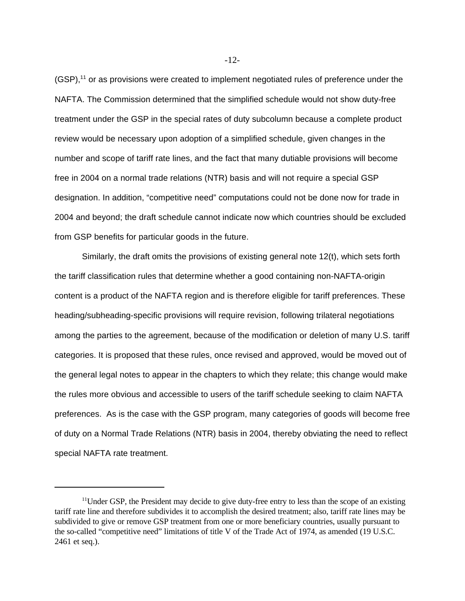$(GSP<sup>11</sup>)$  or as provisions were created to implement negotiated rules of preference under the NAFTA. The Commission determined that the simplified schedule would not show duty-free treatment under the GSP in the special rates of duty subcolumn because a complete product review would be necessary upon adoption of a simplified schedule, given changes in the number and scope of tariff rate lines, and the fact that many dutiable provisions will become free in 2004 on a normal trade relations (NTR) basis and will not require a special GSP designation. In addition, "competitive need" computations could not be done now for trade in 2004 and beyond; the draft schedule cannot indicate now which countries should be excluded from GSP benefits for particular goods in the future.

Similarly, the draft omits the provisions of existing general note 12(t), which sets forth the tariff classification rules that determine whether a good containing non-NAFTA-origin content is a product of the NAFTA region and is therefore eligible for tariff preferences. These heading/subheading-specific provisions will require revision, following trilateral negotiations among the parties to the agreement, because of the modification or deletion of many U.S. tariff categories. It is proposed that these rules, once revised and approved, would be moved out of the general legal notes to appear in the chapters to which they relate; this change would make the rules more obvious and accessible to users of the tariff schedule seeking to claim NAFTA preferences. As is the case with the GSP program, many categories of goods will become free of duty on a Normal Trade Relations (NTR) basis in 2004, thereby obviating the need to reflect special NAFTA rate treatment.

-12-

<sup>&</sup>lt;sup>11</sup>Under GSP, the President may decide to give duty-free entry to less than the scope of an existing tariff rate line and therefore subdivides it to accomplish the desired treatment; also, tariff rate lines may be subdivided to give or remove GSP treatment from one or more beneficiary countries, usually pursuant to the so-called "competitive need" limitations of title V of the Trade Act of 1974, as amended (19 U.S.C. 2461 et seq.).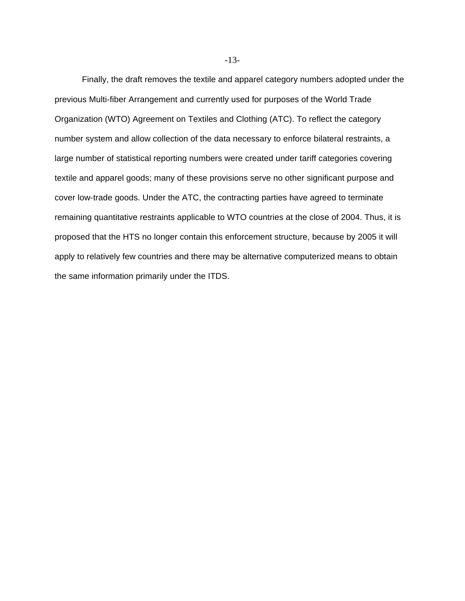Finally, the draft removes the textile and apparel category numbers adopted under the previous Multi-fiber Arrangement and currently used for purposes of the World Trade Organization (WTO) Agreement on Textiles and Clothing (ATC). To reflect the category number system and allow collection of the data necessary to enforce bilateral restraints, a large number of statistical reporting numbers were created under tariff categories covering textile and apparel goods; many of these provisions serve no other significant purpose and cover low-trade goods. Under the ATC, the contracting parties have agreed to terminate remaining quantitative restraints applicable to WTO countries at the close of 2004. Thus, it is proposed that the HTS no longer contain this enforcement structure, because by 2005 it will apply to relatively few countries and there may be alternative computerized means to obtain the same information primarily under the ITDS.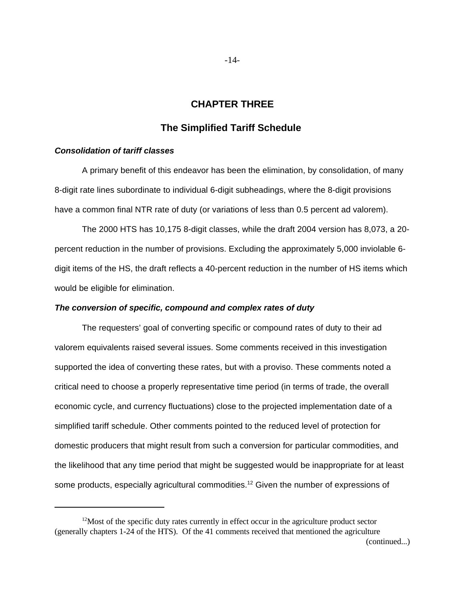# **CHAPTER THREE**

# **The Simplified Tariff Schedule**

## *Consolidation of tariff classes*

A primary benefit of this endeavor has been the elimination, by consolidation, of many 8-digit rate lines subordinate to individual 6-digit subheadings, where the 8-digit provisions have a common final NTR rate of duty (or variations of less than 0.5 percent ad valorem).

The 2000 HTS has 10,175 8-digit classes, while the draft 2004 version has 8,073, a 20 percent reduction in the number of provisions. Excluding the approximately 5,000 inviolable 6 digit items of the HS, the draft reflects a 40-percent reduction in the number of HS items which would be eligible for elimination.

#### *The conversion of specific, compound and complex rates of duty*

The requesters' goal of converting specific or compound rates of duty to their ad valorem equivalents raised several issues. Some comments received in this investigation supported the idea of converting these rates, but with a proviso. These comments noted a critical need to choose a properly representative time period (in terms of trade, the overall economic cycle, and currency fluctuations) close to the projected implementation date of a simplified tariff schedule. Other comments pointed to the reduced level of protection for domestic producers that might result from such a conversion for particular commodities, and the likelihood that any time period that might be suggested would be inappropriate for at least some products, especially agricultural commodities.<sup>12</sup> Given the number of expressions of

-14-

 $12$ Most of the specific duty rates currently in effect occur in the agriculture product sector (generally chapters 1-24 of the HTS). Of the 41 comments received that mentioned the agriculture (continued...)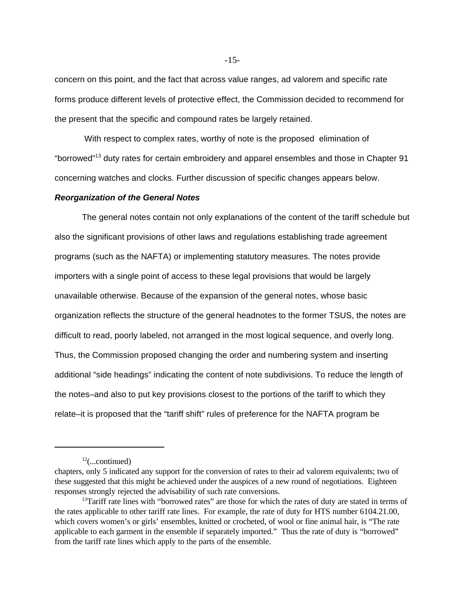concern on this point, and the fact that across value ranges, ad valorem and specific rate forms produce different levels of protective effect, the Commission decided to recommend for the present that the specific and compound rates be largely retained.

 With respect to complex rates, worthy of note is the proposed elimination of "borrowed"<sup>13</sup> duty rates for certain embroidery and apparel ensembles and those in Chapter 91 concerning watches and clocks. Further discussion of specific changes appears below.

## *Reorganization of the General Notes*

The general notes contain not only explanations of the content of the tariff schedule but also the significant provisions of other laws and regulations establishing trade agreement programs (such as the NAFTA) or implementing statutory measures. The notes provide importers with a single point of access to these legal provisions that would be largely unavailable otherwise. Because of the expansion of the general notes, whose basic organization reflects the structure of the general headnotes to the former TSUS, the notes are difficult to read, poorly labeled, not arranged in the most logical sequence, and overly long. Thus, the Commission proposed changing the order and numbering system and inserting additional "side headings" indicating the content of note subdivisions. To reduce the length of the notes–and also to put key provisions closest to the portions of the tariff to which they relate–it is proposed that the "tariff shift" rules of preference for the NAFTA program be

 $12$ (...continued)

chapters, only 5 indicated any support for the conversion of rates to their ad valorem equivalents; two of these suggested that this might be achieved under the auspices of a new round of negotiations. Eighteen responses strongly rejected the advisability of such rate conversions.

<sup>&</sup>lt;sup>13</sup>Tariff rate lines with "borrowed rates" are those for which the rates of duty are stated in terms of the rates applicable to other tariff rate lines. For example, the rate of duty for HTS number 6104.21.00, which covers women's or girls' ensembles, knitted or crocheted, of wool or fine animal hair, is "The rate applicable to each garment in the ensemble if separately imported." Thus the rate of duty is "borrowed" from the tariff rate lines which apply to the parts of the ensemble.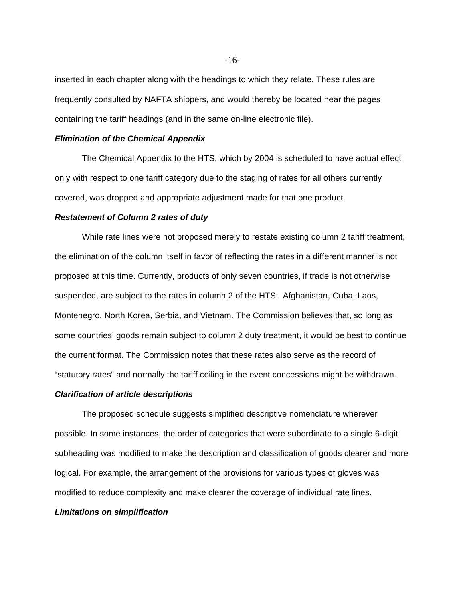inserted in each chapter along with the headings to which they relate. These rules are frequently consulted by NAFTA shippers, and would thereby be located near the pages containing the tariff headings (and in the same on-line electronic file).

## *Elimination of the Chemical Appendix*

The Chemical Appendix to the HTS, which by 2004 is scheduled to have actual effect only with respect to one tariff category due to the staging of rates for all others currently covered, was dropped and appropriate adjustment made for that one product.

# *Restatement of Column 2 rates of duty*

While rate lines were not proposed merely to restate existing column 2 tariff treatment, the elimination of the column itself in favor of reflecting the rates in a different manner is not proposed at this time. Currently, products of only seven countries, if trade is not otherwise suspended, are subject to the rates in column 2 of the HTS: Afghanistan, Cuba, Laos, Montenegro, North Korea, Serbia, and Vietnam. The Commission believes that, so long as some countries' goods remain subject to column 2 duty treatment, it would be best to continue the current format. The Commission notes that these rates also serve as the record of "statutory rates" and normally the tariff ceiling in the event concessions might be withdrawn.

#### *Clarification of article descriptions*

The proposed schedule suggests simplified descriptive nomenclature wherever possible. In some instances, the order of categories that were subordinate to a single 6-digit subheading was modified to make the description and classification of goods clearer and more logical. For example, the arrangement of the provisions for various types of gloves was modified to reduce complexity and make clearer the coverage of individual rate lines.

#### *Limitations on simplification*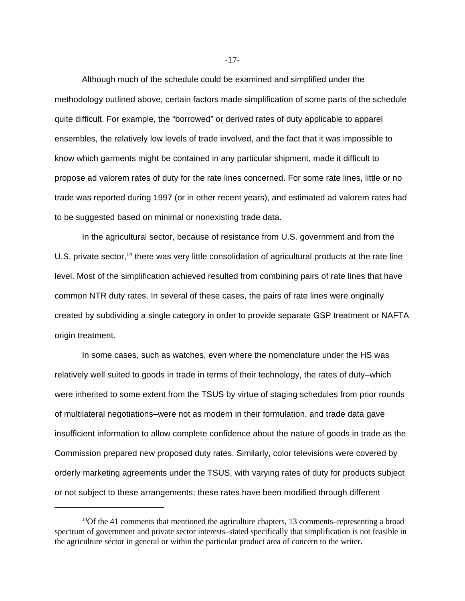Although much of the schedule could be examined and simplified under the methodology outlined above, certain factors made simplification of some parts of the schedule quite difficult. For example, the "borrowed" or derived rates of duty applicable to apparel ensembles, the relatively low levels of trade involved, and the fact that it was impossible to know which garments might be contained in any particular shipment, made it difficult to propose ad valorem rates of duty for the rate lines concerned. For some rate lines, little or no trade was reported during 1997 (or in other recent years), and estimated ad valorem rates had to be suggested based on minimal or nonexisting trade data.

In the agricultural sector, because of resistance from U.S. government and from the U.S. private sector,<sup>14</sup> there was very little consolidation of agricultural products at the rate line level. Most of the simplification achieved resulted from combining pairs of rate lines that have common NTR duty rates. In several of these cases, the pairs of rate lines were originally created by subdividing a single category in order to provide separate GSP treatment or NAFTA origin treatment.

In some cases, such as watches, even where the nomenclature under the HS was relatively well suited to goods in trade in terms of their technology, the rates of duty–which were inherited to some extent from the TSUS by virtue of staging schedules from prior rounds of multilateral negotiations–were not as modern in their formulation, and trade data gave insufficient information to allow complete confidence about the nature of goods in trade as the Commission prepared new proposed duty rates. Similarly, color televisions were covered by orderly marketing agreements under the TSUS, with varying rates of duty for products subject or not subject to these arrangements; these rates have been modified through different

-17-

 $14$ Of the 41 comments that mentioned the agriculture chapters, 13 comments–representing a broad spectrum of government and private sector interests–stated specifically that simplification is not feasible in the agriculture sector in general or within the particular product area of concern to the writer.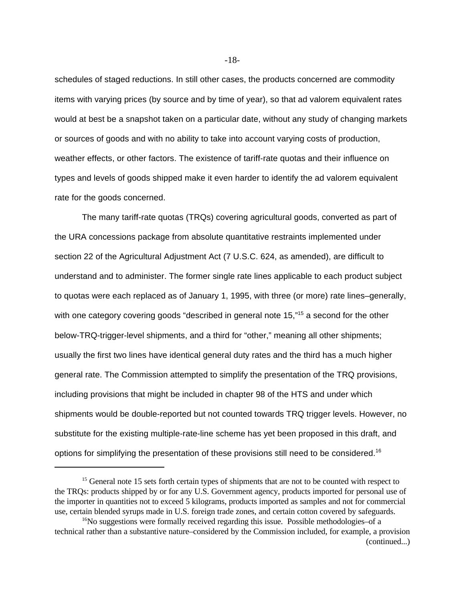schedules of staged reductions. In still other cases, the products concerned are commodity items with varying prices (by source and by time of year), so that ad valorem equivalent rates would at best be a snapshot taken on a particular date, without any study of changing markets or sources of goods and with no ability to take into account varying costs of production, weather effects, or other factors. The existence of tariff-rate quotas and their influence on types and levels of goods shipped make it even harder to identify the ad valorem equivalent rate for the goods concerned.

The many tariff-rate quotas (TRQs) covering agricultural goods, converted as part of the URA concessions package from absolute quantitative restraints implemented under section 22 of the Agricultural Adjustment Act (7 U.S.C. 624, as amended), are difficult to understand and to administer. The former single rate lines applicable to each product subject to quotas were each replaced as of January 1, 1995, with three (or more) rate lines–generally, with one category covering goods "described in general note 15,"<sup>15</sup> a second for the other below-TRQ-trigger-level shipments, and a third for "other," meaning all other shipments; usually the first two lines have identical general duty rates and the third has a much higher general rate. The Commission attempted to simplify the presentation of the TRQ provisions, including provisions that might be included in chapter 98 of the HTS and under which shipments would be double-reported but not counted towards TRQ trigger levels. However, no substitute for the existing multiple-rate-line scheme has yet been proposed in this draft, and options for simplifying the presentation of these provisions still need to be considered.<sup>16</sup>

-18-

<sup>&</sup>lt;sup>15</sup> General note 15 sets forth certain types of shipments that are not to be counted with respect to the TRQs: products shipped by or for any U.S. Government agency, products imported for personal use of the importer in quantities not to exceed 5 kilograms, products imported as samples and not for commercial use, certain blended syrups made in U.S. foreign trade zones, and certain cotton covered by safeguards.

 $16$ No suggestions were formally received regarding this issue. Possible methodologies–of a technical rather than a substantive nature–considered by the Commission included, for example, a provision (continued...)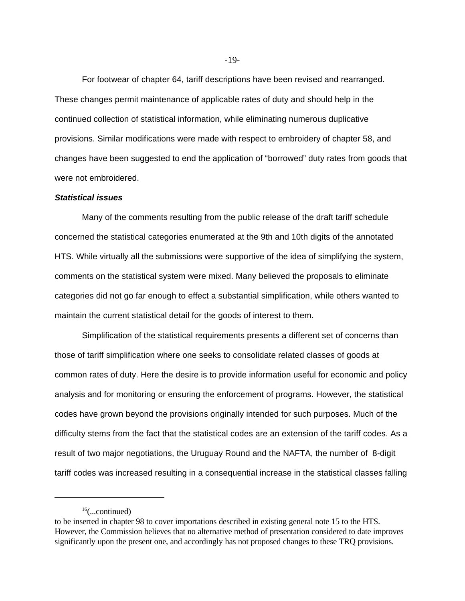For footwear of chapter 64, tariff descriptions have been revised and rearranged. These changes permit maintenance of applicable rates of duty and should help in the continued collection of statistical information, while eliminating numerous duplicative provisions. Similar modifications were made with respect to embroidery of chapter 58, and changes have been suggested to end the application of "borrowed" duty rates from goods that were not embroidered.

### *Statistical issues*

Many of the comments resulting from the public release of the draft tariff schedule concerned the statistical categories enumerated at the 9th and 10th digits of the annotated HTS. While virtually all the submissions were supportive of the idea of simplifying the system, comments on the statistical system were mixed. Many believed the proposals to eliminate categories did not go far enough to effect a substantial simplification, while others wanted to maintain the current statistical detail for the goods of interest to them.

Simplification of the statistical requirements presents a different set of concerns than those of tariff simplification where one seeks to consolidate related classes of goods at common rates of duty. Here the desire is to provide information useful for economic and policy analysis and for monitoring or ensuring the enforcement of programs. However, the statistical codes have grown beyond the provisions originally intended for such purposes. Much of the difficulty stems from the fact that the statistical codes are an extension of the tariff codes. As a result of two major negotiations, the Uruguay Round and the NAFTA, the number of 8-digit tariff codes was increased resulting in a consequential increase in the statistical classes falling

 $16$ (...continued)

to be inserted in chapter 98 to cover importations described in existing general note 15 to the HTS. However, the Commission believes that no alternative method of presentation considered to date improves significantly upon the present one, and accordingly has not proposed changes to these TRQ provisions.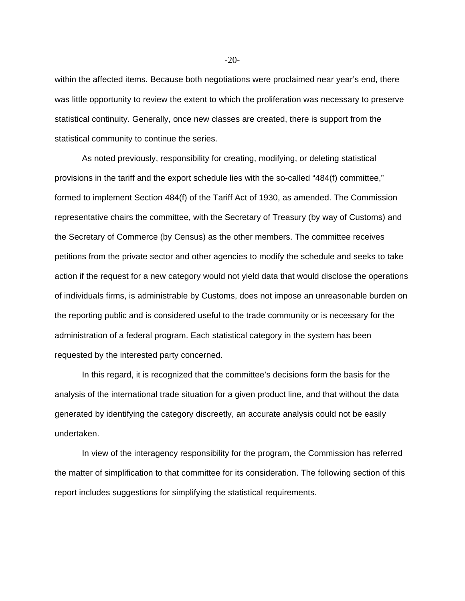within the affected items. Because both negotiations were proclaimed near year's end, there was little opportunity to review the extent to which the proliferation was necessary to preserve statistical continuity. Generally, once new classes are created, there is support from the statistical community to continue the series.

As noted previously, responsibility for creating, modifying, or deleting statistical provisions in the tariff and the export schedule lies with the so-called "484(f) committee," formed to implement Section 484(f) of the Tariff Act of 1930, as amended. The Commission representative chairs the committee, with the Secretary of Treasury (by way of Customs) and the Secretary of Commerce (by Census) as the other members. The committee receives petitions from the private sector and other agencies to modify the schedule and seeks to take action if the request for a new category would not yield data that would disclose the operations of individuals firms, is administrable by Customs, does not impose an unreasonable burden on the reporting public and is considered useful to the trade community or is necessary for the administration of a federal program. Each statistical category in the system has been requested by the interested party concerned.

In this regard, it is recognized that the committee's decisions form the basis for the analysis of the international trade situation for a given product line, and that without the data generated by identifying the category discreetly, an accurate analysis could not be easily undertaken.

In view of the interagency responsibility for the program, the Commission has referred the matter of simplification to that committee for its consideration. The following section of this report includes suggestions for simplifying the statistical requirements.

-20-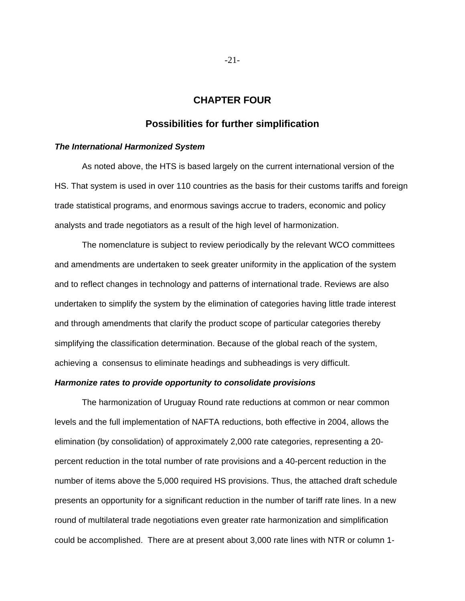# **CHAPTER FOUR**

## **Possibilities for further simplification**

#### *The International Harmonized System*

As noted above, the HTS is based largely on the current international version of the HS. That system is used in over 110 countries as the basis for their customs tariffs and foreign trade statistical programs, and enormous savings accrue to traders, economic and policy analysts and trade negotiators as a result of the high level of harmonization.

The nomenclature is subject to review periodically by the relevant WCO committees and amendments are undertaken to seek greater uniformity in the application of the system and to reflect changes in technology and patterns of international trade. Reviews are also undertaken to simplify the system by the elimination of categories having little trade interest and through amendments that clarify the product scope of particular categories thereby simplifying the classification determination. Because of the global reach of the system, achieving a consensus to eliminate headings and subheadings is very difficult.

#### *Harmonize rates to provide opportunity to consolidate provisions*

The harmonization of Uruguay Round rate reductions at common or near common levels and the full implementation of NAFTA reductions, both effective in 2004, allows the elimination (by consolidation) of approximately 2,000 rate categories, representing a 20 percent reduction in the total number of rate provisions and a 40-percent reduction in the number of items above the 5,000 required HS provisions. Thus, the attached draft schedule presents an opportunity for a significant reduction in the number of tariff rate lines. In a new round of multilateral trade negotiations even greater rate harmonization and simplification could be accomplished. There are at present about 3,000 rate lines with NTR or column 1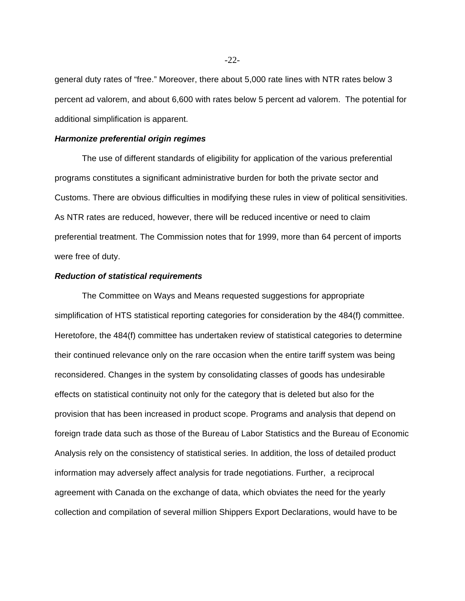general duty rates of "free." Moreover, there about 5,000 rate lines with NTR rates below 3 percent ad valorem, and about 6,600 with rates below 5 percent ad valorem. The potential for additional simplification is apparent.

## *Harmonize preferential origin regimes*

The use of different standards of eligibility for application of the various preferential programs constitutes a significant administrative burden for both the private sector and Customs. There are obvious difficulties in modifying these rules in view of political sensitivities. As NTR rates are reduced, however, there will be reduced incentive or need to claim preferential treatment. The Commission notes that for 1999, more than 64 percent of imports were free of duty.

## *Reduction of statistical requirements*

The Committee on Ways and Means requested suggestions for appropriate simplification of HTS statistical reporting categories for consideration by the 484(f) committee. Heretofore, the 484(f) committee has undertaken review of statistical categories to determine their continued relevance only on the rare occasion when the entire tariff system was being reconsidered. Changes in the system by consolidating classes of goods has undesirable effects on statistical continuity not only for the category that is deleted but also for the provision that has been increased in product scope. Programs and analysis that depend on foreign trade data such as those of the Bureau of Labor Statistics and the Bureau of Economic Analysis rely on the consistency of statistical series. In addition, the loss of detailed product information may adversely affect analysis for trade negotiations. Further, a reciprocal agreement with Canada on the exchange of data, which obviates the need for the yearly collection and compilation of several million Shippers Export Declarations, would have to be

-22-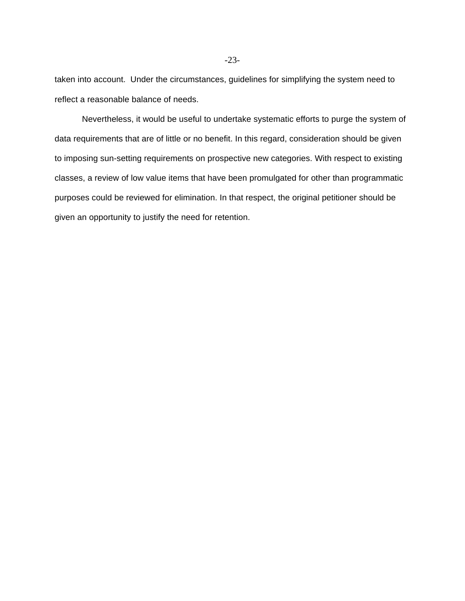taken into account. Under the circumstances, guidelines for simplifying the system need to reflect a reasonable balance of needs.

Nevertheless, it would be useful to undertake systematic efforts to purge the system of data requirements that are of little or no benefit. In this regard, consideration should be given to imposing sun-setting requirements on prospective new categories. With respect to existing classes, a review of low value items that have been promulgated for other than programmatic purposes could be reviewed for elimination. In that respect, the original petitioner should be given an opportunity to justify the need for retention.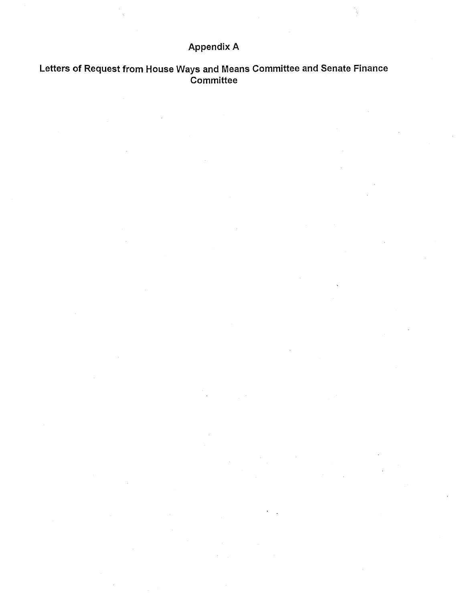# **Appendix A**

# Letters of Request from House Ways and Means Committee and Senate Finance<br>Committee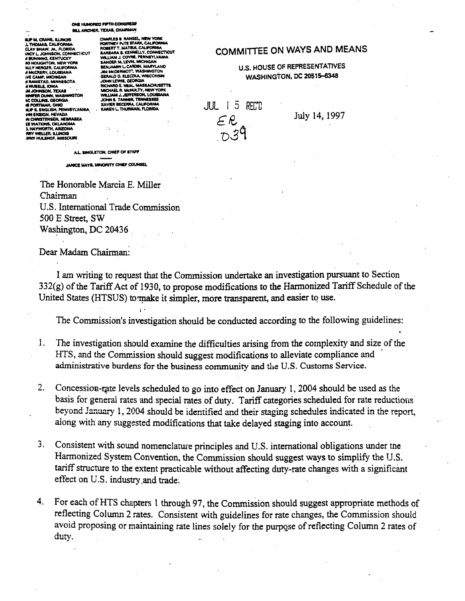#### ONE KUNCRED FIFTH CONSRESS **BILL ARCHER, TEXAS, CHAIRMAN**

**EIP M. CRANE, B.I.BINK ILE M. CRANS, ILINOS<br>A. THOMAS, CALIFORNA<br>CLAY SHAW, JR., FLORIDA<br>WCY L. JOHNSON, CONNECTICUT<br>A BUNHING, KENTUCKY<br>AO HOUGHTON, NEW YORK<br>AO HOUGHTON, NEW YORK NLY HERGER, CALIFORNIA<br>I MCCRERY, LOUISIANA** IE CAMP, MICHIGAN **RAMATTAD, MINNESOTA** NUSSLE, KWA<br>MJOHNSON, TEXAS  $\sim$  . **GREE CHANGE MARAMAGTON AC COLLINS, GEORGIA**<br>**KE PORTMAN, OHIG** S. ENGLISH, PENNSYLVANIA **HAT & ENGLISH FENNIFORM**<br>HA CHRISTENSEN, NEBRASKA ES WATKINS, OKLAHOMA **ES TRATARIS, CALAMANA**<br>**RITY WELLER, SLIRIOSS<br>INNY HULSHOF, MISSOURI** 

CHARLES B. RANGEL, NEW YORK<br>PORTNEY PATE STARK, CALIFORNIA **PORTINEY PETE STANK, CALIFORNIA<br>RABBARA B. KEHMELLY, CONNECTICIT<br>BARBARA B. KEHMELLY, CONNECTICIT<br>SANDER N. LEYNYLE, PENNSYLVANIA<br>SENJAMIN L. CARDIN, MARYLAND<br>BENJAMIN L. CARDIN, MARYLAND<br>JINA MCDERMOTT, WASHINGTON** JOHN LEWIS CONSULTANT WISCONSIN<br>JOHN LEWIS, GEORGIA<br>JOHN LEWIS, GEORGIA RICHAIDE, NEAL, MASSACHUSETT<br>MICHAEL R. MCHALTY, NEW YORK<br>VILLIAM J. JEFFERSON, LOUISIANA<br>JOHN S. TANNER, TEHNESSEE<br>XAVIER BECERRA, CALIFORNIA<br>KAREN L. THURMAN, FLORIDA

# **COMMITTEE ON WAYS AND MEANS**

# **U.S. HOUSE OF REPRESENTATIVES WASHINGTON, DC 20515-6348**



July 14, 1997

A.L. SINGLETON, CHIEF OF STAPP

JANICE MAYS, MINORITY CHIEF COUNSEL

The Honorable Marcia E. Miller Chairman U.S. International Trade Commission 500 E Street, SW Washington, DC 20436

Dear Madam Chairman:

I am writing to request that the Commission undertake an investigation pursuant to Section 332(g) of the Tariff Act of 1930, to propose modifications to the Harmonized Tariff Schedule of the United States (HTSUS) to make it simpler, more transparent, and easier to use.

The Commission's investigation should be conducted according to the following guidelines:

- $1.$ The investigation should examine the difficulties arising from the complexity and size of the HTS, and the Commission should suggest modifications to alleviate compliance and administrative burdens for the business community and the U.S. Customs Service.
- $2.$ Concession-rate levels scheduled to go into effect on January 1, 2004 should be used as the basis for general rates and special rates of duty. Tariff categories scheduled for rate reductions beyond January 1, 2004 should be identified and their staging schedules indicated in the report, along with any suggested modifications that take delayed staging into account.
- $3.$ Consistent with sound nomenclature principles and U.S. international obligations under the Harmonized System Convention, the Commission should suggest ways to simplify the U.S. tariff structure to the extent practicable without affecting duty-rate changes with a significant effect on U.S. industry and trade.
- $4.$ For each of HTS chapters 1 through 97, the Commission should suggest appropriate methods of reflecting Column 2 rates. Consistent with guidelines for rate changes, the Commission should avoid proposing or maintaining rate lines solely for the purpose of reflecting Column 2 rates of duty.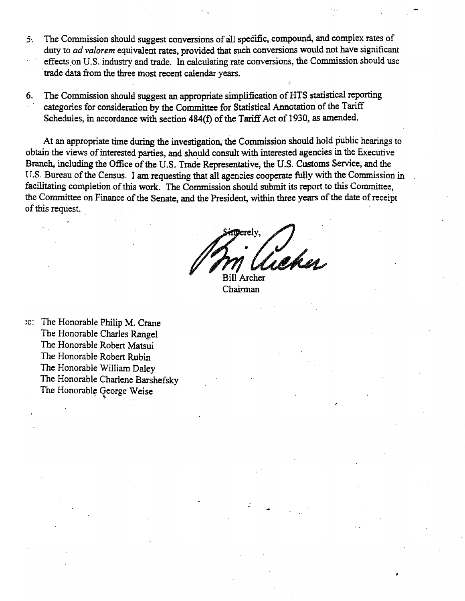- The Commission should suggest conversions of all specific, compound, and complex rates of 5. duty to ad valorem equivalent rates, provided that such conversions would not have significant effects on U.S. industry and trade. In calculating rate conversions, the Commission should use trade data from the three most recent calendar years.
- The Commission should suggest an appropriate simplification of HTS statistical reporting 6. categories for consideration by the Committee for Statistical Annotation of the Tariff Schedules, in accordance with section 484(f) of the Tariff Act of 1930, as amended.

At an appropriate time during the investigation, the Commission should hold public hearings to obtain the views of interested parties, and should consult with interested agencies in the Executive Branch, including the Office of the U.S. Trade Representative, the U.S. Customs Service, and the U.S. Bureau of the Census. I am requesting that all agencies cooperate fully with the Commission in facilitating completion of this work. The Commission should submit its report to this Committee, the Committee on Finance of the Senate, and the President, within three years of the date of receipt of this request.

Archer

Chairman

:c: The Honorable Philip M. Crane The Honorable Charles Rangel The Honorable Robert Matsui The Honorable Robert Rubin The Honorable William Daley The Honorable Charlene Barshefsky The Honorable George Weise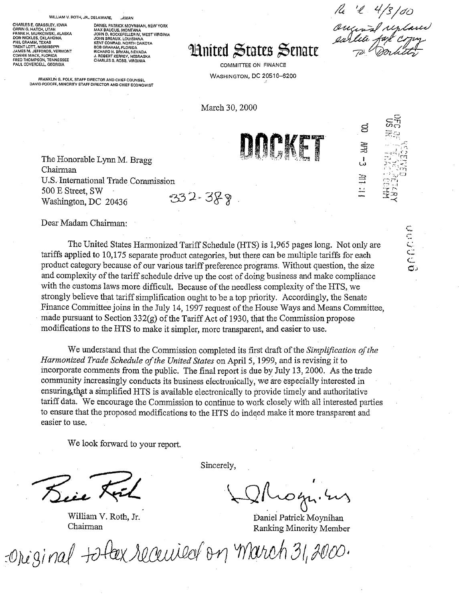#### WILLIAM V. ROTH, JR., DELAWARE,

HARLES E. GRASSLEY, IOWA **CHARLES E. GRASSLEY, IOWA<br>ORRING. HATCH, UTAH<br>FRANK H. MURKOWSKI, ALASKA<br>DON NICKLES, OKLAHOMA<br>THENT LOTT, MISSISSIPPI<br>TRENT LOTT, MISSISSIPPI<br>LAMES M. REEGDDS UTAHOLER** JAMES M. JEFFORDS. VERMONT CONNIE MACK, FLORIDA PAUL COVERDELL, GEORGIA

DANIEL PATRICK MOYNIHAN, NEW YORK<br>MAX BAUCUS, MONTANA<br>JOHN D. ROCKEFELLER IV, WEST VIRGINIA<br>JOHN BREAUX, LOUISIANA KENT CONRAD, NORTH DAKOTA **BOB GRAHAM, FLORIDA<br>RICHARD H. BRYAN, NEVADA<br>J. ROBERT KERREY, NEBRASK<br>CHARLES S, ROBB, VIRGINIA** 

# **Hnited States Senate**

**COMMITTEE ON FINANCE WASHINGTON, DC 20510-6200** 

March 30, 2000

FRANKLIN G. POLK, STAFF DIRECTOR AND CHIEF COUNSEL DAVID PODOFF, MINORITY STAFF DIRECTOR AND CHIEF ECONOMIST

INTENT

8

annon

 $\frac{11}{2}$ 

The Honorable Lynn M. Bragg Chairman U.S. International Trade Commission 500 E Street, SW  $332 - 389$ Washington, DC 20436

Dear Madam Chairman:

The United States Harmonized Tariff Schedule (HTS) is 1,965 pages long. Not only are tariffs applied to 10,175 separate product categories, but there can be multiple tariffs for each product category because of our various tariff preference programs. Without question, the size and complexity of the tariff schedule drive up the cost of doing business and make compliance with the customs laws more difficult. Because of the needless complexity of the HTS, we strongly believe that tariff simplification ought to be a top priority. Accordingly, the Senate Finance Committee joins in the July 14, 1997 request of the House Ways and Means Committee, made pursuant to Section  $332(g)$  of the Tariff Act of 1930, that the Commission propose modifications to the HTS to make it simpler, more transparent, and easier to use.

We understand that the Commission completed its first draft of the *Simplification of the* Harmonized Trade Schedule of the United States on April 5, 1999, and is revising it to incorporate comments from the public. The final report is due by July 13, 2000. As the trade community increasingly conducts its business electronically, we are especially interested in ensuring that a simplified HTS is available electronically to provide timely and authoritative tariff data. We encourage the Commission to continue to work closely with all interested parties to ensure that the proposed modifications to the HTS do indeed make it more transparent and easier to use.

We look forward to your report.

William V. Roth, Jr. Chairman

Sincerely,

Daniel Patrick Moynihan Ranking Minority Member

Original to fex received on march 31, 2000.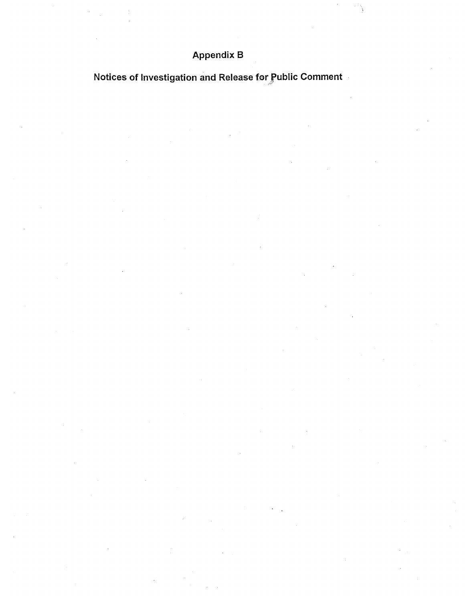# **Appendix B**

Notices of Investigation and Release for Public Comment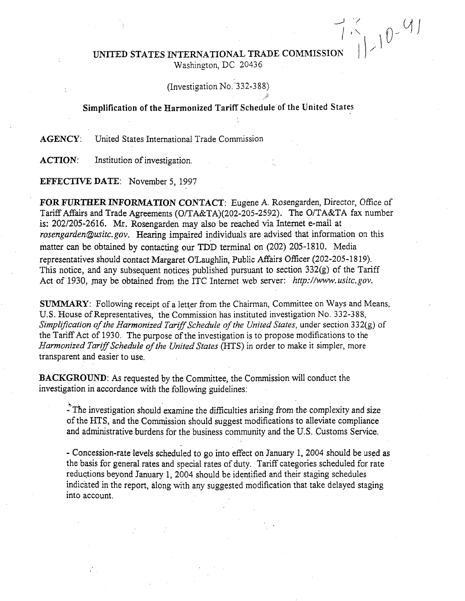# $120-97$ UNITED STATES INTERNATIONAL TRADE COMMISSION Washington, DC 20436

# (Investigation No. 332-388)

# Simplification of the Harmonized Tariff Schedule of the United States

United States International Trade Commission **AGENCY:** 

**ACTION:** Institution of investigation.

**EFFECTIVE DATE:** November 5, 1997

FOR FURTHER INFORMATION CONTACT: Eugene A. Rosengarden, Director, Office of Tariff Affairs and Trade Agreements (O/TA&TA)(202-205-2592). The O/TA&TA fax number is: 202/205-2616. Mr. Rosengarden may also be reached via Internet e-mail at rosengarden@usitc.gov. Hearing impaired individuals are advised that information on this matter can be obtained by contacting our TDD terminal on (202) 205-1810. Media representatives should contact Margaret O'Laughlin, Public Affairs Officer (202-205-1819). This notice, and any subsequent notices published pursuant to section 332(g) of the Tariff Act of 1930, may be obtained from the ITC Internet web server: http://www.usitc.gov.

**SUMMARY:** Following receipt of a letter from the Chairman, Committee on Ways and Means, U.S. House of Representatives, the Commission has instituted investigation No. 332-388, Simplification of the Harmonized Tariff Schedule of the United States, under section 332(g) of the Tariff Act of 1930. The purpose of the investigation is to propose modifications to the Harmonized Tariff Schedule of the United States (HTS) in order to make it simpler, more transparent and easier to use.

**BACKGROUND:** As requested by the Committee, the Commission will conduct the investigation in accordance with the following guidelines:

- The investigation should examine the difficulties arising from the complexity and size of the HTS, and the Commission should suggest modifications to alleviate compliance and administrative burdens for the business community and the U.S. Customs Service.

- Concession-rate levels scheduled to go into effect on January 1, 2004 should be used as the basis for general rates and special rates of duty. Tariff categories scheduled for rate reductions beyond January 1, 2004 should be identified and their staging schedules indicated in the report, along with any suggested modification that take delayed staging into account.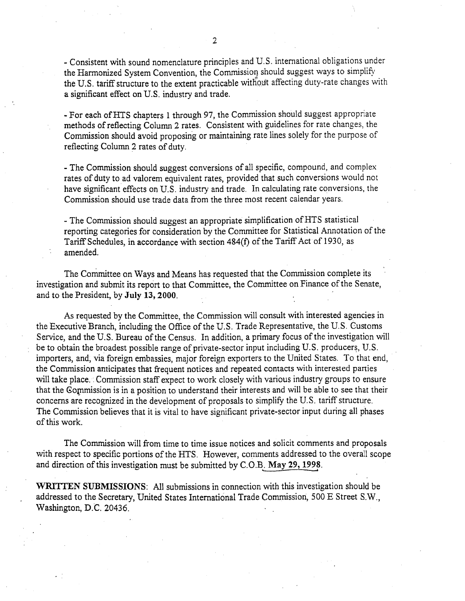- Consistent with sound nomenclature principles and U.S. international obligations under the Harmonized System Convention, the Commission should suggest ways to simplify the U.S. tariff structure to the extent practicable without affecting duty-rate changes with a significant effect on U.S. industry and trade.

- For each of HTS chapters 1 through 97, the Commission should suggest appropriate methods of reflecting Column 2 rates. Consistent with guidelines for rate changes, the Commission should avoid proposing or maintaining rate lines solely for the purpose of reflecting Column 2 rates of duty.

- The Commission should suggest conversions of all specific, compound, and complex rates of duty to ad valorem equivalent rates, provided that such conversions would not have significant effects on U.S. industry and trade. In calculating rate conversions, the Commission should use trade data from the three most recent calendar years.

- The Commission should suggest an appropriate simplification of HTS statistical reporting categories for consideration by the Committee for Statistical Annotation of the Tariff Schedules, in accordance with section 484(f) of the Tariff Act of 1930, as amended.

The Committee on Ways and Means has requested that the Commission complete its investigation and submit its report to that Committee, the Committee on Finance of the Senate, and to the President, by July 13, 2000.

As requested by the Committee, the Commission will consult with interested agencies in the Executive Branch, including the Office of the U.S. Trade Representative, the U.S. Customs Service, and the U.S. Bureau of the Census. In addition, a primary focus of the investigation will be to obtain the broadest possible range of private-sector input including U.S. producers, U.S. importers, and, via foreign embassies, major foreign exporters to the United States. To that end, the Commission anticipates that frequent notices and repeated contacts with interested parties will take place. Commission staff expect to work closely with various industry groups to ensure that the Commission is in a position to understand their interests and will be able to see that their concerns are recognized in the development of proposals to simplify the U.S. tariff structure. The Commission believes that it is vital to have significant private-sector input during all phases of this work.

The Commission will from time to time issue notices and solicit comments and proposals with respect to specific portions of the HTS. However, comments addressed to the overall scope and direction of this investigation must be submitted by C.O.B. May 29, 1998.

WRITTEN SUBMISSIONS: All submissions in connection with this investigation should be addressed to the Secretary, United States International Trade Commission, 500 E Street S.W., Washington, D.C. 20436.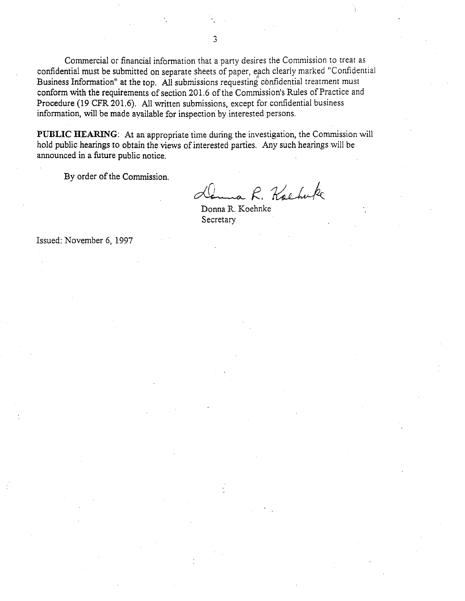Commercial or financial information that a party desires the Commission to treat as confidential must be submitted on separate sheets of paper, each clearly marked "Confidential Business Information" at the top. All submissions requesting confidential treatment must conform with the requirements of section 201.6 of the Commission's Rules of Practice and Procedure (19 CFR 201.6). All written submissions, except for confidential business information, will be made available for inspection by interested persons.

PUBLIC HEARING: At an appropriate time during the investigation, the Commission will hold public hearings to obtain the views of interested parties. Any such hearings will be announced in a future public notice.

By order of the Commission.

Couns R. Kachuke

Donna R. Koehnke Secretary

Issued: November 6, 1997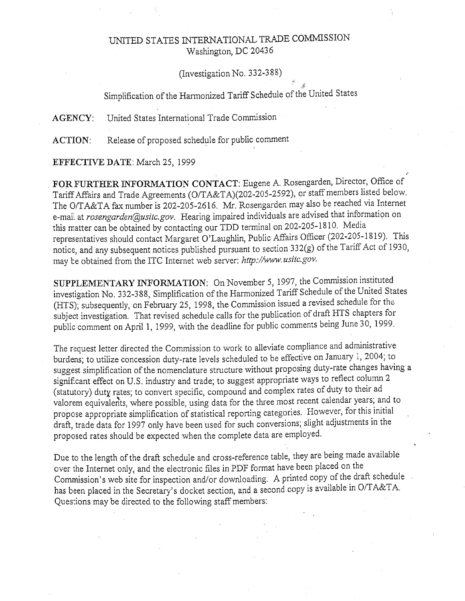# UNITED STATES INTERNATIONAL TRADE COMMISSION Washington, DC 20436

# (Investigation No. 332-388)

# Simplification of the Harmonized Tariff Schedule of the United States

**AGENCY:** United States International Trade Commission

Release of proposed schedule for public comment **ACTION:** 

EFFECTIVE DATE: March 25, 1999

FOR FURTHER INFORMATION CONTACT: Eugene A. Rosengarden, Director, Office of Tariff Affairs and Trade Agreements (O/TA&TA)(202-205-2592), or staff members listed below. The O/TA&TA fax number is 202-205-2616. Mr. Rosengarden may also be reached via Internet e-mail at rosengarden@usitc.gov. Hearing impaired individuals are advised that information on this matter can be obtained by contacting our TDD terminal on 202-205-1810. Media representatives should contact Margaret O'Laughlin, Public Affairs Officer (202-205-1819). This notice, and any subsequent notices published pursuant to section 332(g) of the Tariff Act of 1930, may be obtained from the ITC Internet web server: http://www.usitc.gov.

SUPPLEMENTARY INFORMATION: On November 5, 1997, the Commission instituted investigation No. 332-388, Simplification of the Harmonized Tariff Schedule of the United States (HTS); subsequently, on February 25, 1998, the Commission issued a revised schedule for the subject investigation. That revised schedule calls for the publication of draft HTS chapters for public comment on April 1, 1999, with the deadline for public comments being June 30, 1999.

The request letter directed the Commission to work to alleviate compliance and administrative burdens; to utilize concession duty-rate levels scheduled to be effective on January 1, 2004; to suggest simplification of the nomenclature structure without proposing duty-rate changes having a significant effect on U.S. industry and trade; to suggest appropriate ways to reflect column 2 (statutory) duty rates; to convert specific, compound and complex rates of duty to their ad valorem equivalents, where possible, using data for the three most recent calendar years; and to propose appropriate simplification of statistical reporting categories. However, for this initial draft, trade data for 1997 only have been used for such conversions; slight adjustments in the proposed rates should be expected when the complete data are employed.

Due to the length of the draft schedule and cross-reference table, they are being made available over the Internet only, and the electronic files in PDF format have been placed on the Commission's web site for inspection and/or downloading. A printed copy of the draft schedule has been placed in the Secretary's docket section, and a second copy is available in O/TA&TA. Questions may be directed to the following staff members: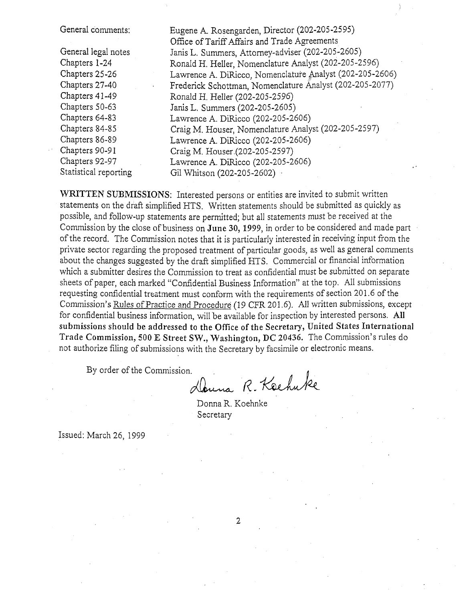General comments:

General legal notes Chapters 1-24 Chapters 25-26 Chapters 27-40 Chapters 41-49 Chapters 50-63 Chapters 64-83 Chapters 84-85 Chapters 86-89 Chapters 90-91 Chapters 92-97 Statistical reporting Eugene A. Rosengarden, Director (202-205-2595) Office of Tariff Affairs and Trade Agreements Janis L. Summers, Attorney-adviser (202-205-2605) Ronald H. Heller, Nomenclature Analyst (202-205-2596) Lawrence A. DiRicco, Nomenclature Analyst (202-205-2606) Frederick Schottman, Nomenclature Analyst (202-205-2077) Ronald H. Heller (202-205-2596) Janis L. Summers (202-205-2605) Lawrence A. DiRicco (202-205-2606) Craig M. Houser, Nomenclature Analyst (202-205-2597) Lawrence A. DiRicco (202-205-2606) Craig M. Houser (202-205-2597) Lawrence A. DiRicco (202-205-2606) Gil Whitson (202-205-2602) ··

WRITTEN SUBMISSIONS: Interested persons or entities are invited to submit written statements on the draft simplified HTS. Written statements should be submitted as quickly as possible, and follow-up statements are permitted; but all statements must be received at the Commission by the close of business on June 30, 1999, in order to be considered and made part of the record. The Commission notes that it is particularly interested in receiving input from the private sector regarding the proposed treatment of particular goods, as well as general comments about the changes suggested by the draft simplified HTS. Commercial or financial information which a submitter desires the Commission to treat as confidential must be submitted on separate sheets of paper, each marked "Confidential Business Information" at the top. All submissions requesting confidential treatment must conform with the requirements of section 201.6 of the Commission's Rules of Practice and Procedure (19 CFR 201.6). All written submissions, except for confidential business information, will be available for inspection by interested persons. All submissions should be addressed to the Office of the Secretary, United States International Trade Commission, 500 E Street SW., Washington, DC 20436. The Commission's rules do not authorize filing of submissions with the Secretary by facsimile or electronic means.

By order of the Commission.

Danna R. Keehuke

Donna R. Koehnke Secretary

Issued: March 26, 1999